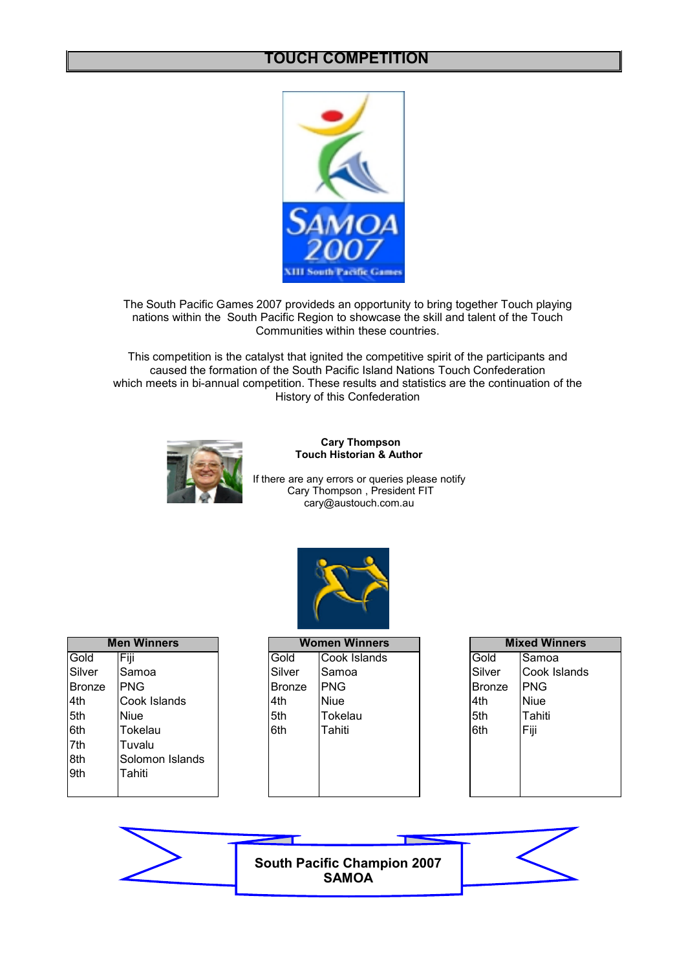### **TOUCH COMPETITION**



The South Pacific Games 2007 provideds an opportunity to bring together Touch playing nations within the South Pacific Region to showcase the skill and talent of the Touch Communities within these countries.

This competition is the catalyst that ignited the competitive spirit of the participants and caused the formation of the South Pacific Island Nations Touch Confederation which meets in bi-annual competition. These results and statistics are the continuation of the History of this Confederation



**Cary Thompson Touch Historian & Author**

If there are any errors or queries please notify Cary Thompson , President FIT cary@austouch.com.au If there are any errors or queries please notify<br>Cary Thompson , President FIT<br>cary@austouch.com.au



|               | <b>Men Winners</b> |  |  |  |  |  |  |
|---------------|--------------------|--|--|--|--|--|--|
| Gold          | Fijī               |  |  |  |  |  |  |
| Silver        | Samoa              |  |  |  |  |  |  |
| <b>Bronze</b> | PNG                |  |  |  |  |  |  |
| 4th           | Cook Islands       |  |  |  |  |  |  |
| 5th           | Niue               |  |  |  |  |  |  |
| 6th           | Tokelau            |  |  |  |  |  |  |
| 7th           | Tuvalu             |  |  |  |  |  |  |
| 8th           | Solomon Islands    |  |  |  |  |  |  |
| 9th           | Tahiti             |  |  |  |  |  |  |
|               |                    |  |  |  |  |  |  |

|               | <b>Men Winners</b> |               | <b>Women Winners</b> |               | <b>Mixed Winners</b> |
|---------------|--------------------|---------------|----------------------|---------------|----------------------|
| Gold          | Fiji               | Gold          | Cook Islands         | Gold          | <b>Samoa</b>         |
| Silver        | Samoa              | Silver        | Samoa                | Silver        | Cook Islands         |
| <b>Bronze</b> | <b>PNG</b>         | <b>Bronze</b> | IPNG.                | <b>Bronze</b> | IPNG                 |
| 4th           | Cook Islands       | 4th           | <b>Niue</b>          | 4th           | Niue                 |
| 5th           | <b>Niue</b>        | 5th           | Tokelau              | 5th           | Tahiti               |
| 6th           | Tokelau            | 6th           | Tahiti               | l6th          | Fiji                 |
| 7th           | Tuvalu             |               |                      |               |                      |
| 8th           | Solomon Islands    |               |                      |               |                      |
| 9th           | Tahiti             |               |                      |               |                      |
|               |                    |               |                      |               |                      |

|               | <b>Mixed Winners</b> |
|---------------|----------------------|
| Gold          | Samoa                |
| Silver        | Cook Islands         |
| <b>Bronze</b> | PNG                  |
| 4th           | <b>Niue</b>          |
| 5th           | Tahiti               |
| 6th           | Fiji                 |
|               |                      |
|               |                      |
|               |                      |
|               |                      |

**South Pacific Champion 2007 SAMOA**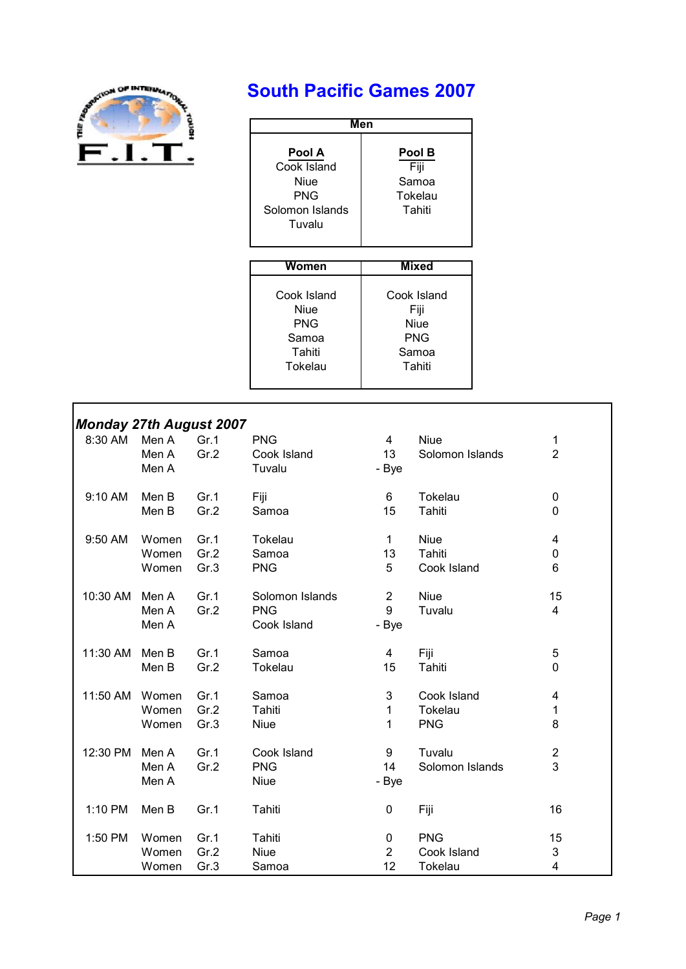

# **South Pacific Games 2007**

| Men                                                               |                                              |
|-------------------------------------------------------------------|----------------------------------------------|
| Pool A<br>Cook Island<br>Niue<br>PNG<br>Solomon Islands<br>Tuvalu | Pool B<br>Fiji<br>Samoa<br>Tokelau<br>Tahiti |

| Women       | Mixed       |
|-------------|-------------|
|             |             |
| Cook Island | Cook Island |
| Niue        | Fiji        |
| PNG         | Niue        |
| Samoa       | <b>PNG</b>  |
| Tahiti      | Samoa       |
| Tokelau     | Tahiti      |
|             |             |

#### *Monday 27th August 2007*

| ,,,,,,<br>8:30 AM | Men A<br>Men A<br>Men A | Gr.1<br>Gr.2 | <b>PNG</b><br>Cook Island<br>Tuvalu          | 4<br>13<br>- Bye             | <b>Niue</b><br>Solomon Islands | 1<br>$\overline{2}$          |
|-------------------|-------------------------|--------------|----------------------------------------------|------------------------------|--------------------------------|------------------------------|
| 9:10 AM           | Men B                   | Gr.1         | Fiji                                         | 6                            | Tokelau                        | 0                            |
|                   | Men B                   | Gr.2         | Samoa                                        | 15                           | Tahiti                         | 0                            |
| 9:50 AM           | Women                   | Gr.1         | Tokelau                                      | $\mathbf{1}$                 | <b>Niue</b>                    | 4                            |
|                   | Women                   | Gr.2         | Samoa                                        | 13                           | Tahiti                         | 0                            |
|                   | Women                   | Gr.3         | <b>PNG</b>                                   | 5                            | Cook Island                    | 6                            |
| 10:30 AM          | Men A<br>Men A<br>Men A | Gr.1<br>Gr.2 | Solomon Islands<br><b>PNG</b><br>Cook Island | $\overline{2}$<br>9<br>- Bye | <b>Niue</b><br>Tuvalu          | 15<br>4                      |
| 11:30 AM          | Men B                   | Gr.1         | Samoa                                        | 4                            | Fiji                           | 5                            |
|                   | Men B                   | Gr.2         | Tokelau                                      | 15                           | Tahiti                         | 0                            |
| 11:50 AM          | Women                   | Gr.1         | Samoa                                        | 3                            | Cook Island                    | 4                            |
|                   | Women                   | Gr.2         | Tahiti                                       | 1                            | Tokelau                        | 1                            |
|                   | Women                   | Gr.3         | <b>Niue</b>                                  | $\mathbf{1}$                 | <b>PNG</b>                     | 8                            |
| 12:30 PM          | Men A<br>Men A<br>Men A | Gr.1<br>Gr.2 | Cook Island<br><b>PNG</b><br><b>Niue</b>     | 9<br>14<br>- Bye             | Tuvalu<br>Solomon Islands      | $\overline{\mathbf{c}}$<br>3 |
| 1:10 PM           | Men B                   | Gr.1         | Tahiti                                       | 0                            | Fiji                           | 16                           |
| 1:50 PM           | Women                   | Gr.1         | Tahiti                                       | 0                            | <b>PNG</b>                     | 15                           |
|                   | Women                   | Gr.2         | <b>Niue</b>                                  | $\overline{2}$               | Cook Island                    | 3                            |
|                   | Women                   | Gr.3         | Samoa                                        | 12                           | <b>Tokelau</b>                 | 4                            |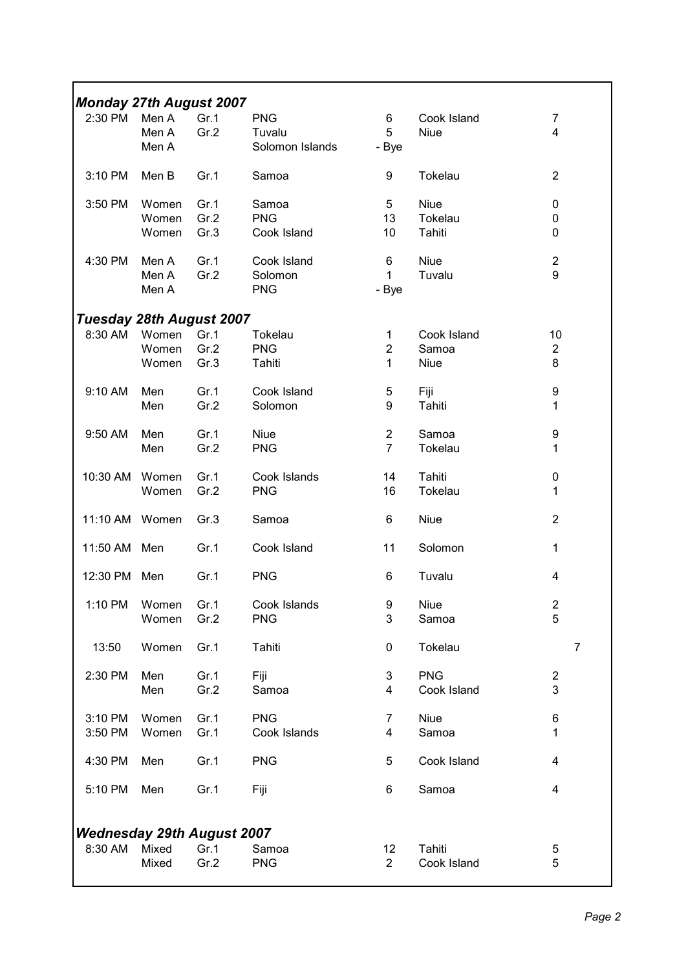| <b>Monday 27th August 2007</b>    |               |      |                 |                 |             |                         |
|-----------------------------------|---------------|------|-----------------|-----------------|-------------|-------------------------|
| 2:30 PM                           | Men A         | Gr.1 | <b>PNG</b>      | 6               | Cook Island | $\overline{7}$          |
|                                   | Men A         | Gr.2 | Tuvalu          | 5               | <b>Niue</b> | 4                       |
|                                   | Men A         |      | Solomon Islands | - Bye           |             |                         |
| 3:10 PM                           | Men B         | Gr.1 | Samoa           | 9               | Tokelau     | $\overline{2}$          |
| 3:50 PM                           | Women         | Gr.1 | Samoa           | $5\phantom{.0}$ | <b>Niue</b> | 0                       |
|                                   | Women         | Gr.2 | <b>PNG</b>      | 13              | Tokelau     | 0                       |
|                                   | Women         | Gr.3 | Cook Island     | 10              | Tahiti      | 0                       |
| 4:30 PM                           | Men A         | Gr.1 | Cook Island     | 6               | <b>Niue</b> | $\boldsymbol{2}$        |
|                                   | Men A         | Gr.2 | Solomon         | $\mathbf{1}$    | Tuvalu      | 9                       |
|                                   | Men A         |      | <b>PNG</b>      | - Bye           |             |                         |
| <b>Tuesday 28th August 2007</b>   |               |      |                 |                 |             |                         |
| 8:30 AM                           | Women         | Gr.1 | Tokelau         | 1               | Cook Island | 10                      |
|                                   | Women         | Gr.2 | <b>PNG</b>      | $\overline{2}$  | Samoa       | $\overline{2}$          |
|                                   | Women         | Gr.3 | Tahiti          | $\mathbf{1}$    | <b>Niue</b> | 8                       |
| 9:10 AM                           | Men           | Gr.1 | Cook Island     | 5               | Fiji        | 9                       |
|                                   | Men           | Gr.2 | Solomon         | 9               | Tahiti      | 1                       |
| 9:50 AM                           | Men           | Gr.1 | <b>Niue</b>     | $\overline{c}$  | Samoa       | 9                       |
|                                   | Men           | Gr.2 | <b>PNG</b>      | $\overline{7}$  | Tokelau     | 1                       |
| 10:30 AM                          | Women         | Gr.1 | Cook Islands    | 14              | Tahiti      | 0                       |
|                                   | Women         | Gr.2 | <b>PNG</b>      | 16              | Tokelau     | 1                       |
| 11:10 AM                          | Women         | Gr.3 | Samoa           | 6               | <b>Niue</b> | $\overline{2}$          |
|                                   |               |      |                 |                 |             |                         |
| 11:50 AM Men                      |               | Gr.1 | Cook Island     | 11              | Solomon     | 1                       |
| 12:30 PM Men                      |               | Gr.1 | <b>PNG</b>      | 6               | Tuvalu      | 4                       |
|                                   | 1:10 PM Women | Gr.1 | Cook Islands    | 9               | Niue        | $\overline{\mathbf{c}}$ |
|                                   | Women         | Gr.2 | <b>PNG</b>      | 3               | Samoa       | 5                       |
| 13:50                             | Women         | Gr.1 | Tahiti          | 0               | Tokelau     | $\overline{7}$          |
| 2:30 PM                           | Men           | Gr.1 | Fiji            | 3               | <b>PNG</b>  | $\overline{2}$          |
|                                   | Men           | Gr.2 | Samoa           | 4               | Cook Island | 3                       |
| 3:10 PM                           | Women         | Gr.1 | <b>PNG</b>      | 7               | <b>Niue</b> | 6                       |
| 3:50 PM                           | Women         | Gr.1 | Cook Islands    | 4               | Samoa       | 1                       |
|                                   |               |      |                 |                 |             |                         |
| 4:30 PM                           | Men           | Gr.1 | <b>PNG</b>      | 5               | Cook Island | 4                       |
| 5:10 PM                           | Men           | Gr.1 | Fiji            | 6               | Samoa       | 4                       |
| <b>Wednesday 29th August 2007</b> |               |      |                 |                 |             |                         |
| 8:30 AM                           | Mixed         | Gr.1 | Samoa           | 12              | Tahiti      | 5                       |
|                                   | Mixed         | Gr.2 | <b>PNG</b>      | $\overline{2}$  | Cook Island | 5                       |
|                                   |               |      |                 |                 |             |                         |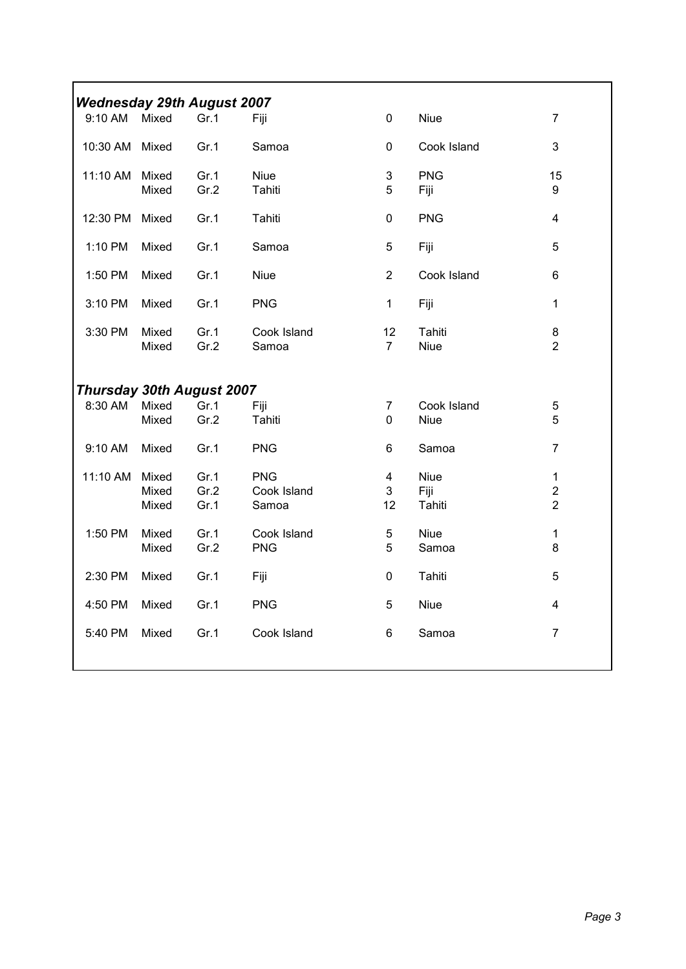| <b>Wednesday 29th August 2007</b> |                         |                      |                                    |                                    |                            |                                                  |
|-----------------------------------|-------------------------|----------------------|------------------------------------|------------------------------------|----------------------------|--------------------------------------------------|
| 9:10 AM                           | Mixed                   | Gr.1                 | Fiji                               | 0                                  | <b>Niue</b>                | $\overline{7}$                                   |
| 10:30 AM                          | Mixed                   | Gr.1                 | Samoa                              | 0                                  | Cook Island                | 3                                                |
| 11:10 AM Mixed                    | Mixed                   | Gr.1<br>Gr.2         | <b>Niue</b><br>Tahiti              | 3<br>5                             | <b>PNG</b><br>Fiji         | 15<br>9                                          |
| 12:30 PM                          | Mixed                   | Gr.1                 | Tahiti                             | 0                                  | <b>PNG</b>                 | $\overline{\mathbf{4}}$                          |
| 1:10 PM                           | Mixed                   | Gr.1                 | Samoa                              | 5                                  | Fiji                       | 5                                                |
|                                   |                         |                      |                                    |                                    |                            |                                                  |
| 1:50 PM                           | Mixed                   | Gr.1                 | <b>Niue</b>                        | $\overline{2}$                     | Cook Island                | 6                                                |
| 3:10 PM                           | Mixed                   | Gr.1                 | <b>PNG</b>                         | 1                                  | Fiji                       | $\mathbf{1}$                                     |
| 3:30 PM                           | Mixed<br>Mixed          | Gr.1<br>Gr.2         | Cook Island<br>Samoa               | 12<br>$\overline{7}$               | Tahiti<br><b>Niue</b>      | 8<br>$\overline{2}$                              |
| <b>Thursday 30th August 2007</b>  |                         |                      |                                    |                                    |                            |                                                  |
| 8:30 AM                           | Mixed<br>Mixed          | Gr.1<br>Gr.2         | Fiji<br>Tahiti                     | 7<br>0                             | Cook Island<br><b>Niue</b> | 5<br>5                                           |
| 9:10 AM                           | Mixed                   | Gr.1                 | <b>PNG</b>                         | 6                                  | Samoa                      | $\overline{7}$                                   |
| 11:10 AM                          | Mixed<br>Mixed<br>Mixed | Gr.1<br>Gr.2<br>Gr.1 | <b>PNG</b><br>Cook Island<br>Samoa | $\overline{\mathbf{4}}$<br>3<br>12 | Niue<br>Fiji<br>Tahiti     | $\mathbf{1}$<br>$\overline{2}$<br>$\overline{2}$ |
| 1:50 PM                           | Mixed<br>Mixed          | Gr.1<br>Gr.2         | Cook Island<br><b>PNG</b>          | 5<br>5                             | <b>Niue</b><br>Samoa       | $\mathbf{1}$<br>8                                |
| 2:30 PM                           | Mixed                   | Gr.1                 | Fiji                               | 0                                  | Tahiti                     | 5                                                |
| 4:50 PM                           | Mixed                   | Gr.1                 | <b>PNG</b>                         | 5                                  | <b>Niue</b>                | $\overline{4}$                                   |
| 5:40 PM                           | Mixed                   | Gr.1                 | Cook Island                        | 6                                  | Samoa                      | $\overline{7}$                                   |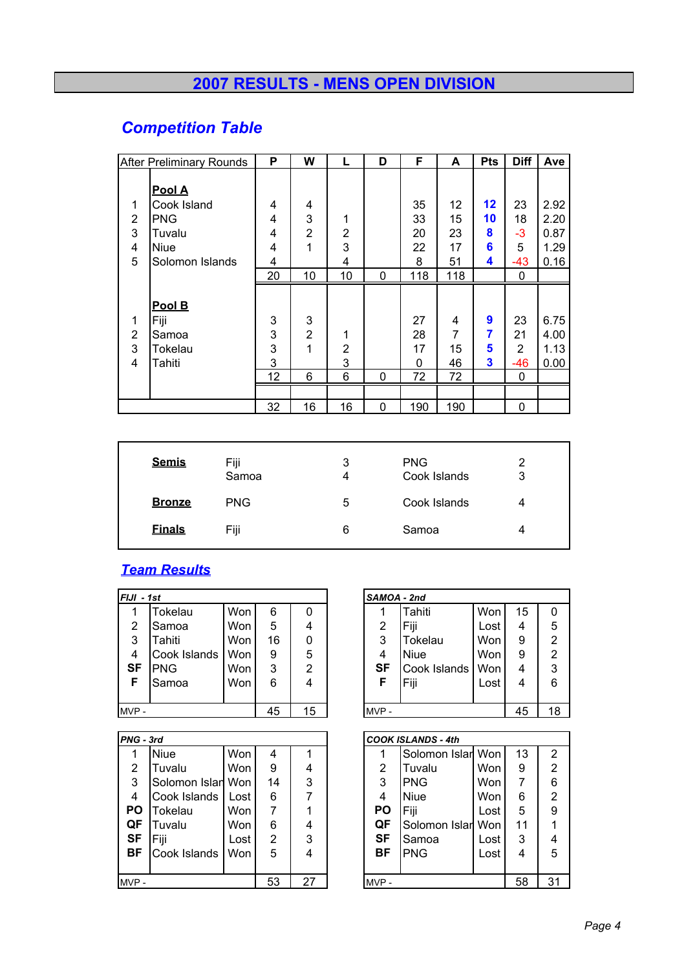# **2007 RESULTS - MENS OPEN DIVISION**

# *Competition Table*

|                               | <b>After Preliminary Rounds</b>              | P                      | W                             | L                             | D | F                         | A                        | <b>Pts</b>       | <b>Diff</b>               | Ave                          |
|-------------------------------|----------------------------------------------|------------------------|-------------------------------|-------------------------------|---|---------------------------|--------------------------|------------------|---------------------------|------------------------------|
|                               | Pool A                                       |                        |                               |                               |   |                           |                          |                  |                           |                              |
| 1                             | Cook Island                                  | 4                      | 4                             |                               |   | 35                        | 12                       | $12 \,$          | 23                        | 2.92                         |
| $\overline{2}$                | PNG                                          | 4                      | 3                             | 1                             |   | 33                        | 15                       | 10               | 18                        | 2.20                         |
| 3                             | Tuvalu                                       | 4                      | $\overline{2}$                | $\overline{2}$                |   | 20                        | 23                       | 8                | -3                        | 0.87                         |
| 4                             | <b>Niue</b>                                  | 4                      | 1                             | 3                             |   | 22                        | 17                       | 6                | 5                         | 1.29                         |
| 5                             | Solomon Islands                              | 4                      |                               | 4                             |   | 8                         | 51                       | 4                | -43                       | 0.16                         |
|                               |                                              | 20                     | 10                            | 10                            | 0 | 118                       | 118                      |                  | 0                         |                              |
| 1<br>$\overline{2}$<br>3<br>4 | Pool B<br>Fiji<br>Samoa<br>Tokelau<br>Tahiti | 3<br>3<br>3<br>3<br>12 | 3<br>$\overline{2}$<br>1<br>6 | 1<br>$\overline{2}$<br>3<br>6 | 0 | 27<br>28<br>17<br>0<br>72 | 4<br>7<br>15<br>46<br>72 | 9<br>7<br>5<br>3 | 23<br>21<br>2<br>-46<br>0 | 6.75<br>4.00<br>1.13<br>0.00 |
|                               |                                              | 32                     | 16                            | 16                            | 0 | 190                       | 190                      |                  | 0                         |                              |

| <b>Semis</b>  | Fiji<br>Samoa | 3<br>4 | <b>PNG</b><br>Cook Islands | 2<br>3 |
|---------------|---------------|--------|----------------------------|--------|
| <b>Bronze</b> | <b>PNG</b>    | 5      | Cook Islands               | 4      |
| <b>Finals</b> | Fiji          | 6      | Samoa                      |        |

## *Team Results*

| FIJI - 1st |              |     |    |    | SAMOA - 2nd |              |      |    |                |
|------------|--------------|-----|----|----|-------------|--------------|------|----|----------------|
|            | Tokelau      | Won | 6  | 0  |             | Tahiti       | Won  | 15 | 0              |
| 2          | Samoa        | Won | 5  | 4  | 2           | Fiji         | Lost | 4  | 5              |
| 3          | Tahiti       | Won | 16 | 0  | 3           | Tokelau      | Won  | 9  | $\overline{2}$ |
| 4          | Cook Islands | Won | 9  | 5  | 4           | <b>Niue</b>  | Won  | 9  | $\overline{2}$ |
| <b>SF</b>  | <b>PNG</b>   | Won | 3  | 2  | SF          | Cook Islands | Won  | 4  | 3              |
| F          | Samoa        | Won | 6  | 4  | F           | Fiji         | Lost | 4  | 6              |
|            |              |     |    |    |             |              |      |    |                |
| MVP-       |              |     | 45 | 15 | MVP-        |              |      | 45 | 18             |

| PNG - 3rd |                   |      |    |    |           | <b>COOK ISLANDS - 4th</b> |            |    |                |
|-----------|-------------------|------|----|----|-----------|---------------------------|------------|----|----------------|
|           | <b>Niue</b>       | Won  | 4  |    |           | Solomon Islar Won         |            | 13 | $\overline{2}$ |
| 2         | Tuvalu            | Won  | 9  | 4  | 2         | Tuvalu                    | Won        | 9  | $\overline{2}$ |
| 3         | Solomon Islan Won |      | 14 | 3  | 3         | <b>PNG</b>                | <b>Won</b> |    | 6              |
| 4         | Cook Islands      | Lost | 6  |    | 4         | Niue                      | <b>Won</b> | 6  | $\overline{2}$ |
| <b>PO</b> | Tokelau           | Won  | 7  |    | <b>PO</b> | Fiji                      | Lost       | 5  | 9              |
| QF        | Tuvalu            | Won  | 6  | 4  | QF        | Solomon Islarl Won        |            | 11 |                |
| <b>SF</b> | Fiji              | Lost | 2  | 3  | <b>SF</b> | Samoa                     | Lost       | 3  | 4              |
| <b>BF</b> | Cook Islands      | Won  | 5  | 4  | ВF        | <b>PNG</b>                | Lost       | 4  | 5              |
|           |                   |      |    |    |           |                           |            |    |                |
| $MVP -$   |                   |      | 53 | 27 | MVP-      |                           |            | 58 | 31             |

| SAMOA - 2nd    |              |      |    |                |
|----------------|--------------|------|----|----------------|
|                | Tahiti       | Won  | 15 | 0              |
| 2              | Fiji         | Lost | 4  | 5              |
| 3              | Tokelau      | Won  | 9  | $\overline{2}$ |
| $\overline{4}$ | <b>Niue</b>  | Won  | 9  | $\overline{2}$ |
| <b>SF</b>      | Cook Islands | Won  | 4  | $\overline{3}$ |
| F              | Fiji         | Lost |    | 6              |
|                |              |      |    |                |
|                |              |      | 45 | 18             |

| IG - 3rd       |                   |            |    |    |           | <b>COOK ISLANDS - 4th</b> |      |    |    |
|----------------|-------------------|------------|----|----|-----------|---------------------------|------|----|----|
| 1              | <b>Niue</b>       | Won        | 4  |    |           | Solomon Islar Won         |      | 13 | 2  |
| $\overline{2}$ | Tuvalu            | <b>Won</b> | 9  | 4  | 2         | Tuvalu                    | Won  | 9  | 2  |
| 3              | Solomon Islan Won |            | 14 | 3  | 3         | <b>PNG</b>                | Won  | 7  | 6  |
| 4              | Cook Islands      | Lost       | 6  | 7  | 4         | Niue                      | Won  | 6  | 2  |
| ٥              | Tokelau           | Won        | 7  |    | <b>PO</b> | Fiji                      | Lost | 5  | 9  |
| ĴΕ             | Tuvalu            | Won        | 6  | 4  | QF        | Solomon Islar             | Won  | 11 |    |
| SF             | Fiji              | Lost       | 2  | 3  | <b>SF</b> | Samoa                     | Lost | 3  |    |
| 3F             | Cook Islands      | Won        | 5  | 4  | ВF        | <b>PNG</b>                | Lost | 4  | 5  |
|                |                   |            |    |    |           |                           |      |    |    |
| /P -           |                   |            | 53 | 27 | MVP-      |                           |      | 58 | 31 |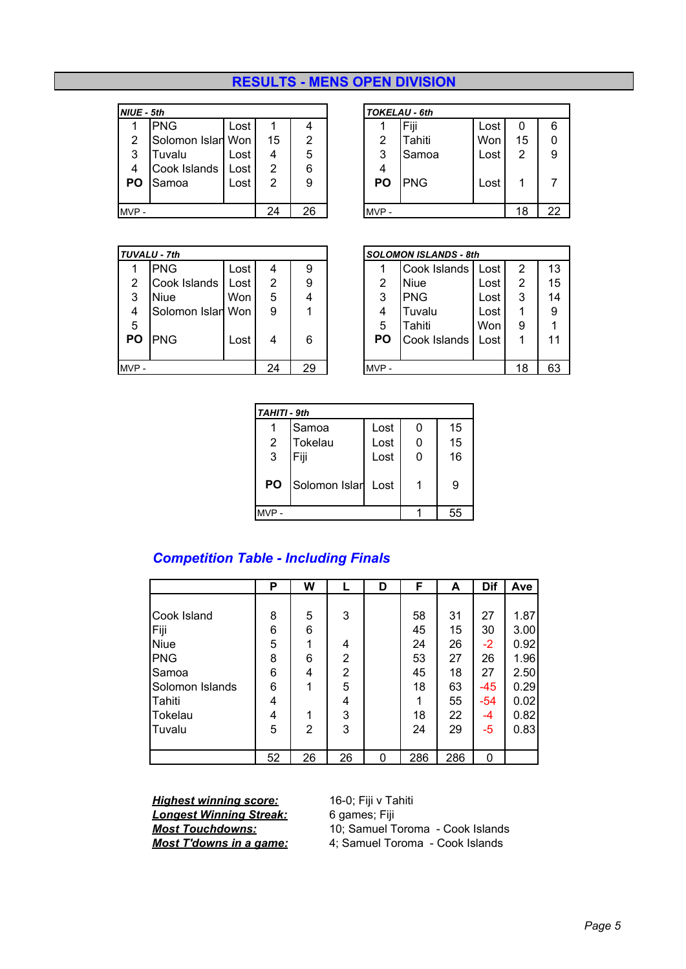### **RESULTS - MENS OPEN DIVISION**

| NIUE - 5th |                   |      |    |    |      | <b>TOKELAU - 6th</b> |      |    |    |
|------------|-------------------|------|----|----|------|----------------------|------|----|----|
|            | PNG               | Lost |    | 4  |      | Fiji                 | Lost | 0  | 6  |
| 2          | Solomon Islan Won |      | 15 | 2  | 2    | Tahiti               | Won  | 15 | 0  |
| 3          | Tuvalu            | Lost | 4  | 5  | 3    | Samoa                | Lost | 2  | 9  |
| 4          | Cook Islands      | Lost | 2  | 6  | 4    |                      |      |    |    |
| PO         | Samoa             | Lost | 2  | 9  | PО   | <b>PNG</b>           | Lost |    |    |
|            |                   |      |    |    |      |                      |      |    |    |
| MVP-       |                   |      | 24 | 26 | MVP- |                      |      | 18 | 22 |

|      | <b>TOKELAU - 6th</b> |      |                |    |
|------|----------------------|------|----------------|----|
|      | Fiji                 | Lost | 0              | 6  |
| 2    | Tahiti               | Won  | 15             | 0  |
| 3    | Samoa                | Lost | $\overline{2}$ | 9  |
| 4    |                      |      |                |    |
| PO   | <b>PNG</b>           | Lost |                | 7  |
|      |                      |      |                |    |
| MVP- |                      |      | 18             | 22 |
|      |                      |      |                |    |

|      | <b>TUVALU - 7th</b> |            |    |    |      | <b>SOLOMON ISLANDS - 8th</b> |      |    |    |
|------|---------------------|------------|----|----|------|------------------------------|------|----|----|
|      | <b>PNG</b>          | Lost       | 4  | 9  |      | Cook Islands                 | Lost | 2  | 13 |
| 2    | Cook Islands        | Lost       | 2  | 9  | 2    | Niue                         | Lost | 2  | 15 |
| 3    | <b>Niue</b>         | <b>Won</b> | 5  | 4  | 3    | <b>PNG</b>                   | Lost | 3  | 14 |
| 4    | Solomon Islan Won   |            | 9  |    | 4    | Tuvalu                       | Lost |    | 9  |
| 5    |                     |            |    |    | 5    | Tahiti                       | Won  | 9  | 1  |
| PО   | <b>PNG</b>          | Lost       | 4  | 6  | PΟ   | Cook Islands                 | Lost |    | 11 |
|      |                     |            |    |    |      |                              |      |    |    |
| MVP- |                     |            | 24 | 29 | MVP- |                              |      | 18 | 63 |

|                | <b>VALU - 7th</b> |      |    |    | <b>SOLOMON ISLANDS - 8th</b> |              |      |    |    |
|----------------|-------------------|------|----|----|------------------------------|--------------|------|----|----|
| 1              | <b>PNG</b>        | Lost | 4  | 9  |                              | Cook Islands | Lost | 2  | 13 |
| $\overline{2}$ | Cook Islands      | Lost | 2  | 9  | 2                            | <b>Niue</b>  | Lost | 2  | 15 |
| 3              | <b>Niue</b>       | Won  | 5  | 4  | 3                            | <b>PNG</b>   | Lost | 3  | 14 |
| 4              | Solomon Islan Won |      | 9  |    | 4                            | Tuvalu       | Lost |    | 9  |
| 5              |                   |      |    |    | 5                            | Tahiti       | Won  | 9  |    |
| ٥              | <b>PNG</b>        | Lost | 4  | 6  | PΟ                           | Cook Islands | Lost |    | 11 |
|                |                   |      |    |    |                              |              |      |    |    |
| /P -           |                   |      | 24 | 29 | MVP-                         |              |      | 18 | 63 |

| <b>TAHITI - 9th</b> |                    |      |   |    |
|---------------------|--------------------|------|---|----|
|                     | Samoa              | Lost | 0 | 15 |
| 2                   | Tokelau            | Lost | 0 | 15 |
| 3                   | Fiji               | Lost | 0 | 16 |
| <b>PO</b>           | Solomon Islan Lost |      |   | 9  |
| AVP -               |                    |      |   | 55 |

### *Competition Table - Including Finals*

|                 | Р  | W  |    | D | F   | A   | <b>Dif</b> | Ave  |
|-----------------|----|----|----|---|-----|-----|------------|------|
|                 |    |    |    |   |     |     |            |      |
| Cook Island     | 8  | 5  | 3  |   | 58  | 31  | 27         | 1.87 |
| Fiji            | 6  | 6  |    |   | 45  | 15  | 30         | 3.00 |
| <b>Niue</b>     | 5  |    | 4  |   | 24  | 26  | -2         | 0.92 |
| PNG             | 8  | 6  | 2  |   | 53  | 27  | 26         | 1.96 |
| Samoa           | 6  | 4  | 2  |   | 45  | 18  | 27         | 2.50 |
| Solomon Islands | 6  | 1  | 5  |   | 18  | 63  | $-45$      | 0.29 |
| Tahiti          | 4  |    | 4  |   |     | 55  | $-54$      | 0.02 |
| <b>Tokelau</b>  | 4  |    | 3  |   | 18  | 22  | -4         | 0.82 |
| Tuvalu          | 5  | 2  | 3  |   | 24  | 29  | -5         | 0.83 |
|                 |    |    |    |   |     |     |            |      |
|                 | 52 | 26 | 26 | 0 | 286 | 286 | 0          |      |

**Highest winning score:** 16-0; Fiji v Tahiti<br>**Longest Winning Streak:** 6 games; Fiji

**Longest Winning Streak:**<br>Most Touchdowns:

10; Samuel Toroma - Cook Islands *Most T'downs in a game:* 4; Samuel Toroma - Cook Islands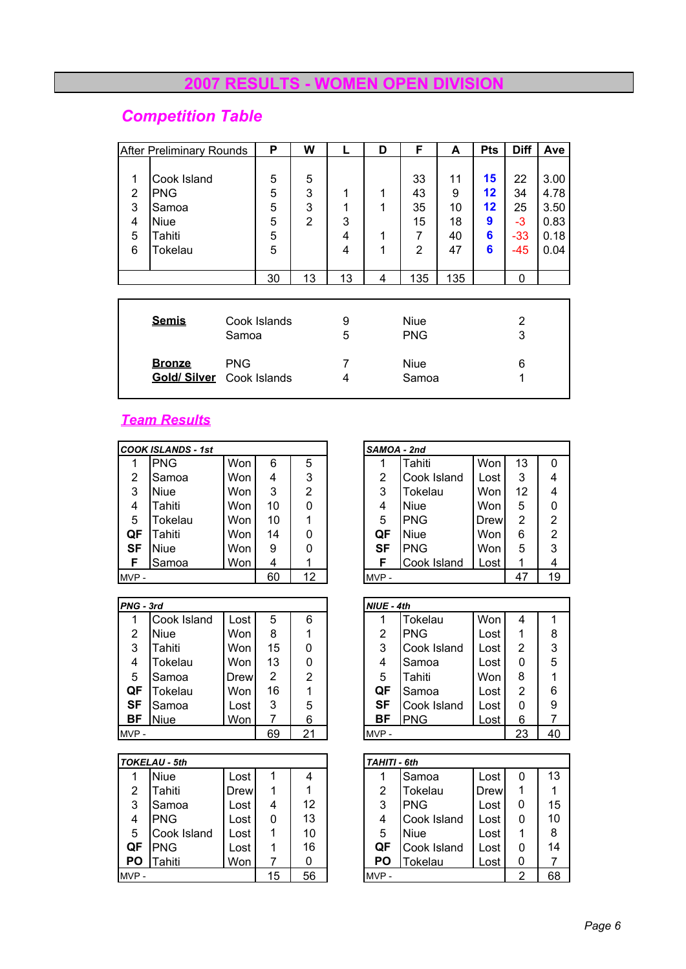### **2007 RESULTS - WOMEN OPEN DIVISION**

# *Competition Table*

|                            | <b>After Preliminary Rounds</b>                                 |                            | P                          | W                             |                       | D                    | F                                           | A                               | <b>Pts</b>                    | <b>Diff</b>                        | Ave                                          |
|----------------------------|-----------------------------------------------------------------|----------------------------|----------------------------|-------------------------------|-----------------------|----------------------|---------------------------------------------|---------------------------------|-------------------------------|------------------------------------|----------------------------------------------|
| 1<br>2<br>3<br>4<br>5<br>6 | Cook Island<br><b>PNG</b><br>Samoa<br>Niue<br>Tahiti<br>Tokelau |                            | 5<br>5<br>5<br>5<br>5<br>5 | 5<br>3<br>3<br>$\overline{2}$ | 1<br>1<br>3<br>4<br>4 | 1<br>1<br>1<br>1     | 33<br>43<br>35<br>15<br>7<br>$\overline{2}$ | 11<br>9<br>10<br>18<br>40<br>47 | 15<br>12<br>12<br>9<br>6<br>6 | 22<br>34<br>25<br>-3<br>-33<br>-45 | 3.00<br>4.78<br>3.50<br>0.83<br>0.18<br>0.04 |
|                            |                                                                 |                            | 30                         | 13                            | 13                    | 4                    | 135                                         | 135                             |                               | 0                                  |                                              |
|                            | <b>Semis</b>                                                    |                            | Cook Islands               |                               | 9                     |                      | <b>Niue</b>                                 |                                 |                               | 2                                  |                                              |
|                            |                                                                 | Samoa                      |                            |                               | 5                     | <b>PNG</b>           |                                             |                                 | 3                             |                                    |                                              |
|                            | <b>Bronze</b><br><b>Gold/Silver</b>                             | <b>PNG</b><br>Cook Islands |                            |                               | 7<br>4                | <b>Niue</b><br>Samoa |                                             |                                 |                               | 6<br>1                             |                                              |

### *Team Results*

|      | COOK ISLANDS - 1st |     |    |    | SAMOA - 2nd |             |            |    |                |
|------|--------------------|-----|----|----|-------------|-------------|------------|----|----------------|
|      | <b>PNG</b>         | Won | 6  | 5  |             | Tahiti      | Won        | 13 | 0              |
| 2    | Samoa              | Won | 4  | 3  | 2           | Cook Island | Lost       | 3  | 4              |
| 3    | <b>Niue</b>        | Won | 3  | 2  | 3           | Tokelau     | Won        | 12 | 4              |
| 4    | Tahiti             | Won | 10 | 0  | 4           | Niue        | <b>Won</b> | 5  | 0              |
| 5    | Tokelau            | Won | 10 |    | 5           | <b>PNG</b>  | Drew       | 2  | $\overline{2}$ |
| QF   | Tahiti             | Won | 14 | 0  | QF          | Niue        | <b>Won</b> | 6  | $\overline{2}$ |
| SF   | <b>Niue</b>        | Won | 9  | 0  | SF          | <b>PNG</b>  | <b>Won</b> | 5  | 3              |
| F    | Samoa              | Won | 4  |    |             | Cook Island | Lost       | 1  | 4              |
| MVP- |                    |     | 60 | 12 | MVP-        |             |            | 47 | 19             |

|      | PNG - 3rd   |      |    |    |  | NIUE - 4th |                |      |    |    |
|------|-------------|------|----|----|--|------------|----------------|------|----|----|
|      | Cook Island | Lost | 5  | 6  |  |            | <b>Tokelau</b> | Won  | 4  | 1  |
| 2    | Niue        | Won  | 8  |    |  | 2          | <b>PNG</b>     | Lost | 1  | 8  |
| 3    | Tahiti      | Won  | 15 | 0  |  | 3          | Cook Island    | Lost | 2  | 3  |
| 4    | Tokelau     | Won  | 13 | 0  |  | 4          | Samoa          | Lost | 0  | 5  |
| 5    | Samoa       | Drew | 2  | 2  |  | 5          | Tahiti         | Won  | 8  | 1  |
| QF   | Tokelau     | Won  | 16 |    |  | QF         | Samoa          | Lost | 2  | 6  |
| SF   | Samoa       | Lost | 3  | 5  |  | <b>SF</b>  | Cook Island    | Lost | 0  | 9  |
| ВF   | <b>Niue</b> | Won  |    | 6  |  | ВF         | <b>PNG</b>     | Lost | 6  | 7  |
| MVP- |             |      | 69 | 21 |  | MVP-       |                |      | 23 | 40 |

|           | TOKELAU - 5th |      |    |    | <b>TAHITI - 6th</b> |                |      |   |    |
|-----------|---------------|------|----|----|---------------------|----------------|------|---|----|
| 1         | <b>Niue</b>   | Lost |    | 4  |                     | Samoa          | Lost | 0 | 13 |
| 2         | Tahiti        | Drew |    |    | 2                   | Tokelau        | Drew |   | 1  |
| 3         | Samoa         | Lost | 4  | 12 | 3                   | <b>PNG</b>     | Lost | 0 | 15 |
| 4         | <b>PNG</b>    | Lost | 0  | 13 | 4                   | Cook Island    | Lost | 0 | 10 |
| 5         | Cook Island   | Lost | 1  | 10 | 5                   | <b>Niue</b>    | Lost |   | 8  |
| QF        | <b>PNG</b>    | Lost |    | 16 | QF                  | Cook Island    | Lost | 0 | 14 |
| <b>PO</b> | Tahiti        | Won  |    | 0  | PO                  | <b>Tokelau</b> | Lost | 0 |    |
| MVP-      |               |      | 15 | 56 | MVP-                |                |      | າ | 68 |

|                | DOK ISLANDS - 1st |     |    |    | SAMOA - 2nd |                |             |    |                |
|----------------|-------------------|-----|----|----|-------------|----------------|-------------|----|----------------|
| 1              | <b>PNG</b>        | Won | 6  | 5  |             | Tahiti         | Won         | 13 | 0              |
| $\overline{2}$ | Samoa             | Won | 4  | 3  | 2           | Cook Island    | Lost        | 3  | 4              |
| 3              | <b>Niue</b>       | Won | 3  | 2  | 3           | <b>Tokelau</b> | Won         | 12 | 4              |
| 4              | Tahiti            | Won | 10 | 0  | 4           | Niue           | Won         | 5  | 0              |
| 5              | Tokelau           | Won | 10 |    | 5           | <b>PNG</b>     | <b>Drew</b> | 2  | 2              |
| )F             | Tahiti            | Won | 14 | 0  | QF          | <b>Niue</b>    | Won         | 6  | $\overline{2}$ |
| SF             | <b>Niue</b>       | Won | 9  | 0  | SF          | <b>PNG</b>     | Won         | 5  | 3              |
| F              | Samoa             | Won | 4  |    | F           | Cook Island    | Lost        |    |                |
| /P -           |                   |     | 60 | 12 | MVP-        |                |             | 47 | 19             |

| IG - 3rd |             |      |    |    | NIUE - 4th |           |             |      |    |    |  |
|----------|-------------|------|----|----|------------|-----------|-------------|------|----|----|--|
| 1        | Cook Island | Lost | 5  | 6  |            |           | Tokelau     | Won  | 4  |    |  |
| 2        | <b>Niue</b> | Won  | 8  |    |            | 2         | <b>PNG</b>  | Lost |    | 8  |  |
| 3        | Tahiti      | Won  | 15 | 0  |            | 3         | Cook Island | Lost | 2  | 3  |  |
| 4        | Tokelau     | Won  | 13 | 0  |            | 4         | Samoa       | Lost | 0  | 5  |  |
| 5.       | Samoa       | Drew | 2  | 2  |            | 5         | Tahiti      | Won  | 8  |    |  |
| )F       | Tokelau     | Won  | 16 |    |            | QF        | Samoa       | Lost | 2  | 6  |  |
| SF       | Samoa       | Lost | 3  | 5  |            | <b>SF</b> | Cook Island | Lost | 0  | 9  |  |
| 3F       | <b>Niue</b> | Won  |    | 6  |            | ВF        | <b>PNG</b>  | Lost | 6  |    |  |
| /P -     |             |      | 69 | 21 |            | MVP-      |             |      | 23 | 40 |  |

|      | KELAU - 5th |             |    |    | <b>TAHITI - 6th</b> |             |             |    |    |
|------|-------------|-------------|----|----|---------------------|-------------|-------------|----|----|
| 1    | <b>Niue</b> | Lost        |    | 4  |                     | Samoa       | Lost        | 0  | 13 |
| 2    | Tahiti      | <b>Drew</b> |    |    | 2                   | Tokelau     | <b>Drew</b> |    |    |
| 3    | Samoa       | Lost        | 4  | 12 | 3                   | <b>IPNG</b> | Lost        | 0  | 15 |
| 4    | <b>PNG</b>  | Lost        | 0  | 13 | 4                   | Cook Island | Lost        | 0  | 10 |
| 5.   | Cook Island | Lost        |    | 10 | 5                   | <b>Niue</b> | Lost        |    | 8  |
| )F   | <b>PNG</b>  | Lost        |    | 16 | QF                  | Cook Island | Lost        | 0  | 14 |
| ٥י   | Tahiti      | Won         |    | 0  | PO                  | Tokelau     | Lost        | 0  |    |
| /P - |             |             | 15 | 56 | MVP-                |             | 2           | 68 |    |
|      |             |             |    |    |                     |             |             |    |    |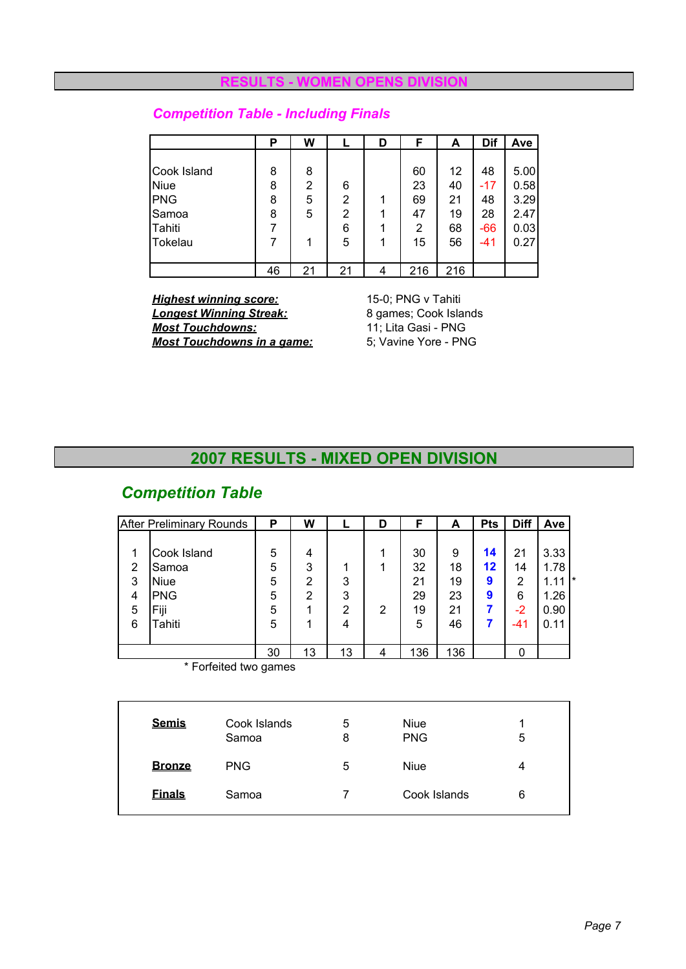#### *RESPUES DIVISION*

## *Competition Table - Including Finals*

|             | Р  | W  |                | D | F              | A   | Dif   | Ave  |
|-------------|----|----|----------------|---|----------------|-----|-------|------|
|             |    |    |                |   |                |     |       |      |
| Cook Island | 8  | 8  |                |   | 60             | 12  | 48    | 5.00 |
| <b>Niue</b> | 8  | 2  | 6              |   | 23             | 40  | $-17$ | 0.58 |
| PNG         | 8  | 5  | $\overline{2}$ | 1 | 69             | 21  | 48    | 3.29 |
| Samoa       | 8  | 5  | $\overline{2}$ |   | 47             | 19  | 28    | 2.47 |
| Tahiti      |    |    | 6              |   | $\overline{2}$ | 68  | $-66$ | 0.03 |
| Tokelau     |    | 1  | 5              |   | 15             | 56  | -41   | 0.27 |
|             |    |    |                |   |                |     |       |      |
|             | 46 | 21 | 21             | 4 | 216            | 216 |       |      |

*Highest winning score:*<br> **Longest Winning Streak:** 8 games; Cook Islands **Longest Winning Streak:** 8 games; Cook Islan<br> **Most Touchdowns:** 11; Lita Gasi - PNG **Most Touchdowns:** 11; Lita Gasi - PNG<br> **Most Touchdowns in a game:** 5: Vavine Yore - PNG *Most Touchdowns in a game:* 

#### **2007 RESULTS - MIXED OPEN DIVISION**

## *Competition Table*

|             | <b>After Preliminary Rounds</b>            | P                | W                |              | D      | F                    | A                   | <b>Pts</b>         | <b>Diff</b>        | Ave                                |
|-------------|--------------------------------------------|------------------|------------------|--------------|--------|----------------------|---------------------|--------------------|--------------------|------------------------------------|
| 2<br>3<br>4 | Cook Island<br>Samoa<br><b>Niue</b><br>PNG | 5<br>5<br>5<br>5 | 4<br>3<br>2<br>2 | 3<br>3       |        | 30<br>32<br>21<br>29 | 9<br>18<br>19<br>23 | 14<br>12<br>9<br>9 | 21<br>14<br>2<br>6 | 3.33<br>1.78<br>1*<br>1.11<br>1.26 |
| 5<br>6      | Fiji<br>Tahiti                             | 5<br>5<br>30     | 13               | 2<br>4<br>13 | 2<br>4 | 19<br>5<br>136       | 21<br>46<br>136     |                    | $-2$<br>$-41$<br>0 | 0.90<br>0.11                       |

\* Forfeited two games

| <b>Semis</b>  | Cook Islands<br>Samoa | 5<br>8 | <b>Niue</b><br><b>PNG</b> | 5 |
|---------------|-----------------------|--------|---------------------------|---|
| <b>Bronze</b> | <b>PNG</b>            | 5      | Niue                      | 4 |
| <b>Finals</b> | Samoa                 |        | Cook Islands              | 6 |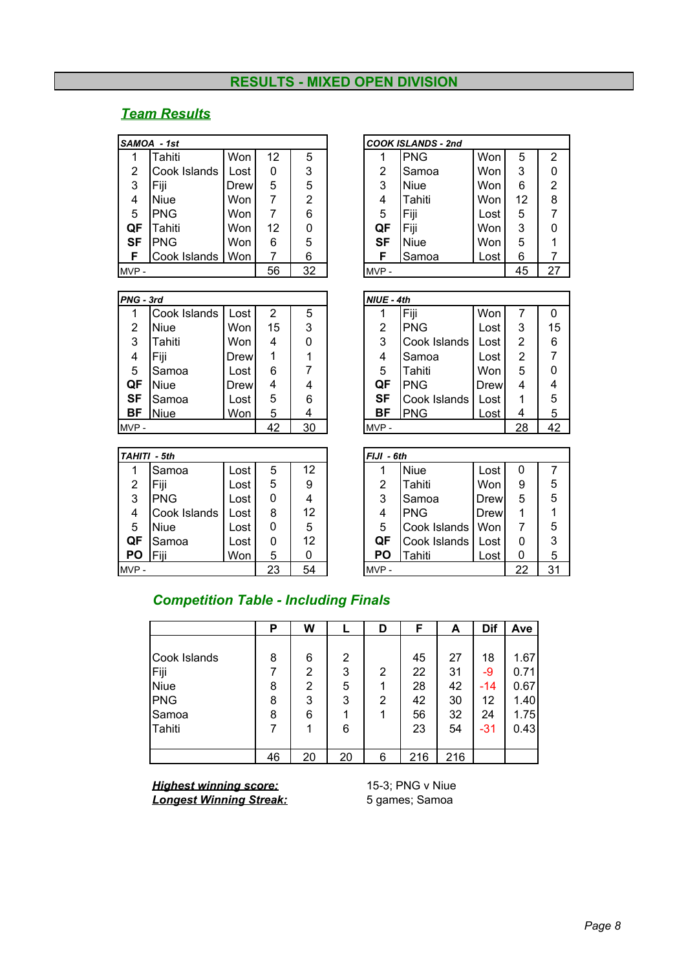#### **RESULTS - MIXED OPEN DIVISION**

### *Team Results*

|      | SAMOA - 1st  |      |    |    |      | <b>COOK ISLANDS - 2nd</b> |      |    |                |
|------|--------------|------|----|----|------|---------------------------|------|----|----------------|
|      | Tahiti       | Won  | 12 | 5  |      | <b>PNG</b>                | Won  | 5  | $\overline{2}$ |
| 2    | Cook Islands | Lost | 0  | 3  | 2    | Samoa                     | Won  | 3  | 0              |
| 3    | Fiji         | Drew | 5  | 5  | 3    | <b>Niue</b>               | Won  | 6  | $\overline{2}$ |
| 4    | <b>Niue</b>  | Won  | 7  | 2  | 4    | Tahiti                    | Won  | 12 | 8              |
| 5    | <b>PNG</b>   | Won  | 7  | 6  | 5    | Fiji                      | Lost | 5  | 7              |
| QF   | Tahiti       | Won  | 12 | 0  | QF   | Fiji                      | Won  | 3  | 0              |
| SF   | <b>PNG</b>   | Won  | 6  | 5  | SF   | <b>Niue</b>               | Won  | 5  |                |
|      | Cook Islands | Won  | 7  | 6  |      | Samoa                     | Lost | 6  |                |
| MVP- |              |      | 56 | 32 | MVP- |                           |      | 45 | 27             |

| <b>PNG</b> - 3rd |              |      |    |    | NIUE - 4th |   |
|------------------|--------------|------|----|----|------------|---|
| 1                | Cook Islands | Lost | 2  | 5  |            | F |
| 2                | Niue         | Won  | 15 | 3  | 2          | Р |
| 3                | Tahiti       | Won  | 4  |    | 3          | C |
| 4                | Fiji         | Drew |    |    | 4          | S |
| 5                | Samoa        | Lost | 6  |    | 5          | Τ |
| QF               | Niue         | Drew | 4  | 4  | QF         | Р |
| <b>SF</b>        | Samoa        | Lost | 5  | 6  | <b>SF</b>  | C |
| ΒF               | <b>Niue</b>  | Won  | 5  |    | ВF         | P |
| $MVP -$          |              |      | 42 | 30 | $MVP -$    |   |

| TAHITI - 5th |              |      |    |    | $FJJI - 6th$ |      |              |      |    |              |
|--------------|--------------|------|----|----|--------------|------|--------------|------|----|--------------|
|              | Samoa        | Lost | 5  | 12 |              |      | <b>Niue</b>  | Lost | 0  | 7            |
| 2            | Fiji         | Lost | 5  | 9  |              | 2    | Tahiti       | Won  | 9  | 5            |
| 3            | <b>PNG</b>   | Lost | 0  | 4  |              | 3    | Samoa        | Drew | 5  | 5            |
| 4            | Cook Islands | Lost | 8  | 12 |              | 4    | <b>PNG</b>   | Drew |    | $\mathbf{1}$ |
| 5            | <b>Niue</b>  | Lost | 0  | 5  |              | 5    | Cook Islands | Won  |    | 5            |
| QF           | Samoa        | Lost | 0  | 12 |              | QF   | Cook Islands | Lost | 0  | 3            |
| PO           | Fiii         | Won  | 5  | 0  |              | PΟ   | Tahiti       | Lost | 0  | 5            |
| MVP-         |              |      | 23 | 54 |              | MVP- |              |      | 22 | 31           |

|                | \MOA -1st    |             |    |    |      | <b>COOK ISLANDS - 2nd</b> |      |    |                |
|----------------|--------------|-------------|----|----|------|---------------------------|------|----|----------------|
| 1              | Tahiti       | Won         | 12 | 5  |      | <b>PNG</b>                | Won  | 5  | 2              |
| $\overline{2}$ | Cook Islands | Lost        | 0  | 3  | 2    | Samoa                     | Won  | 3  | 0              |
| 3              | Fiji         | <b>Drew</b> | 5  | 5  | 3    | <b>Niue</b>               | Won  | 6  | $\overline{2}$ |
| 4              | <b>Niue</b>  | Won         | 7  | 2  | 4    | Tahiti                    | Won  | 12 | 8              |
| 5              | <b>PNG</b>   | Won         | 7  | 6  | 5    | Fiji                      | Lost | 5  |                |
| ÇΕ             | Tahiti       | Won         | 12 | 0  | QF   | Fiji                      | Won  | 3  | 0              |
| SF             | <b>PNG</b>   | Won         | 6  | 5  | SF   | <b>Niue</b>               | Won  | 5  |                |
| F              | Cook Islands | Won         |    | 6  | F    | Samoa                     | Lost | 6  |                |
| /P -           |              |             | 56 | 32 | MVP- |                           |      | 45 | 27             |
|                |              |             |    |    |      |                           |      |    |                |

| PNG - 3rd |              |             |    |                | NIUE - 4th |              |             |    |    |
|-----------|--------------|-------------|----|----------------|------------|--------------|-------------|----|----|
|           | Cook Islands | Lost        | 2  | 5              |            | Fiji         | Won         |    | 0  |
| 2         | <b>Niue</b>  | Won         | 15 | 3              | 2          | <b>PNG</b>   | Lost        | 3  | 15 |
| 3         | Tahiti       | Won         | 4  | 0              | 3          | Cook Islands | Lost        | 2  | 6  |
| 4         | Fiji         | <b>Drew</b> |    |                | 4          | Samoa        | Lost        | 2  |    |
| 5         | Samoa        | Lost        | 6  |                | 5          | Tahiti       | Won         | 5  | 0  |
| QF        | Niue         | <b>Drew</b> | 4  | 4              | QF         | <b>PNG</b>   | <b>Drew</b> | 4  | 4  |
| <b>SF</b> | Samoa        | Lost        | 5  | 6              | <b>SF</b>  | Cook Islands | Lost        | 1  | 5  |
| BF        | <b>Niue</b>  | Won         | 5  | $\overline{4}$ | <b>BF</b>  | <b>PNG</b>   | Lost        | 4  | 5  |
| MVP -     |              |             | 42 | 30             | MVP-       |              |             | 28 | 42 |

|    | FIJI - 6th   |             |    |    |  |  |  |  |  |  |  |  |  |
|----|--------------|-------------|----|----|--|--|--|--|--|--|--|--|--|
|    | <b>Niue</b>  | Lost        | 0  |    |  |  |  |  |  |  |  |  |  |
| 2  | Tahiti       | Won         | 9  | 5  |  |  |  |  |  |  |  |  |  |
| 3  | Samoa        | <b>Drew</b> | 5  | 5  |  |  |  |  |  |  |  |  |  |
| 4  | PNG          | <b>Drew</b> |    |    |  |  |  |  |  |  |  |  |  |
| 5  | Cook Islands | Won         |    | 5  |  |  |  |  |  |  |  |  |  |
| QF | Cook Islands | Lost        |    | 3  |  |  |  |  |  |  |  |  |  |
| PΟ | Tahiti       | Lost        |    | 5  |  |  |  |  |  |  |  |  |  |
|    |              |             | 22 | 31 |  |  |  |  |  |  |  |  |  |

## *Competition Table - Including Finals*

|              | Р  | W              |    | D              | F   | A   | Dif   | Ave  |
|--------------|----|----------------|----|----------------|-----|-----|-------|------|
|              |    |                |    |                |     |     |       |      |
| Cook Islands | 8  | 6              | 2  |                | 45  | 27  | 18    | 1.67 |
| Fiji         | 7  | $\overline{2}$ | 3  | $\overline{2}$ | 22  | 31  | -9    | 0.71 |
| <b>Niue</b>  | 8  | 2              | 5  | 1              | 28  | 42  | -14   | 0.67 |
| PNG          | 8  | 3              | 3  | 2              | 42  | 30  | 12    | 1.40 |
| Samoa        | 8  | 6              |    | 1              | 56  | 32  | 24    | 1.75 |
| Tahiti       |    | 1              | 6  |                | 23  | 54  | $-31$ | 0.43 |
|              |    |                |    |                |     |     |       |      |
|              | 46 | 20             | 20 | 6              | 216 | 216 |       |      |

*Highest winning score:* 15-3; PNG v Niue<br> **Longest Winning Streak:** 5 games; Samoa **Longest Winning Streak:**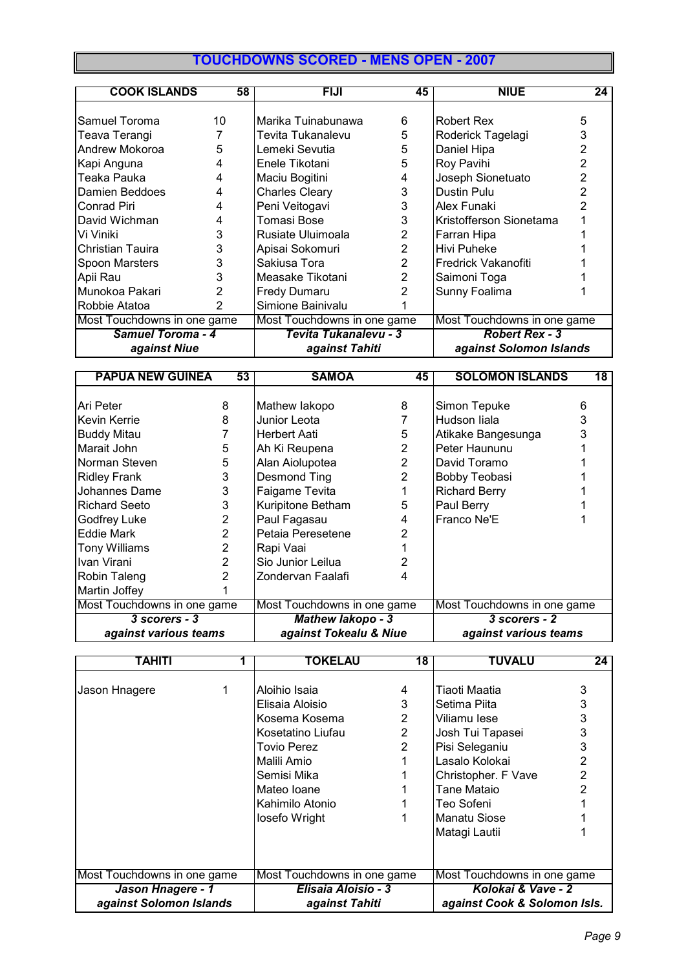## **TOUCHDOWNS SCORED - MENS OPEN - 2007**

| <b>COOK ISLANDS</b>         | 58             | <b>FIJI</b>                 | 45             | <b>NIUE</b>                 | 24 |  |  |
|-----------------------------|----------------|-----------------------------|----------------|-----------------------------|----|--|--|
|                             |                |                             |                |                             |    |  |  |
| Samuel Toroma               | 10             | Marika Tuinabunawa          | 6              | Robert Rex                  | 5  |  |  |
| Teava Terangi               |                | Tevita Tukanalevu           | 5              | Roderick Tagelagi           | 3  |  |  |
| Andrew Mokoroa              | 5              | Lemeki Sevutia              | 5              | Daniel Hipa                 |    |  |  |
| Kapi Anguna                 | 4              | Enele Tikotani              | 5              | Roy Pavihi                  |    |  |  |
| Teaka Pauka                 | 4              | Maciu Bogitini              | 4              | Joseph Sionetuato           |    |  |  |
| Damien Beddoes              | 4              | <b>Charles Cleary</b>       | 3              | Dustin Pulu                 |    |  |  |
| Conrad Piri                 | 4              | Peni Veitogavi              | 3              | Alex Funaki                 |    |  |  |
| David Wichman               | 4              | Tomasi Bose                 | 3              | Kristofferson Sionetama     |    |  |  |
| Vi Viniki                   | 3              | Rusiate Uluimoala           | 2              | Farran Hipa                 |    |  |  |
| Christian Tauira            | 3              | Apisai Sokomuri             | 2              | Hivi Puheke                 |    |  |  |
| Spoon Marsters              | 3              | Sakiusa Tora                | 2              | Fredrick Vakanofiti         |    |  |  |
| Apii Rau                    | 3              | Measake Tikotani            | $\overline{2}$ | Saimoni Toga                |    |  |  |
| Munokoa Pakari              | $\overline{2}$ | <b>Fredy Dumaru</b>         |                | Sunny Foalima               |    |  |  |
| Robbie Atatoa               | 2              | Simione Bainivalu           |                |                             |    |  |  |
| Most Touchdowns in one game |                | Most Touchdowns in one game |                | Most Touchdowns in one game |    |  |  |
| <b>Samuel Toroma - 4</b>    |                | Tevita Tukanalevu - 3       |                | <b>Robert Rex - 3</b>       |    |  |  |
| against Niue                |                | against Tahiti              |                | against Solomon Islands     |    |  |  |

| <b>PAPUA NEW GUINEA</b>     | 53             | <b>SAMOA</b>                | 45             | <b>SOLOMON ISLANDS</b>      | 18 |  |  |
|-----------------------------|----------------|-----------------------------|----------------|-----------------------------|----|--|--|
|                             |                |                             |                |                             |    |  |  |
| Ari Peter                   | 8              | Mathew lakopo               | 8              | Simon Tepuke                | 6  |  |  |
| Kevin Kerrie                | 8              | Junior Leota                |                | Hudson liala                | 3  |  |  |
| <b>Buddy Mitau</b>          |                | <b>Herbert Aati</b>         | 5              | Atikake Bangesunga          |    |  |  |
| Marait John                 | 5              | Ah Ki Reupena               | 2              | Peter Haununu               |    |  |  |
| Norman Steven               | 5              | Alan Aiolupotea             | $\overline{2}$ | David Toramo                |    |  |  |
| <b>Ridley Frank</b>         | 3              | Desmond Ting                | $\overline{2}$ | Bobby Teobasi               |    |  |  |
| Johannes Dame               | 3              | Faigame Tevita              |                | <b>Richard Berry</b>        |    |  |  |
| <b>Richard Seeto</b>        | 3              | Kuripitone Betham           | 5              | Paul Berry                  |    |  |  |
| Godfrey Luke                | 2              | Paul Fagasau                | 4              | Franco Ne'E                 |    |  |  |
| <b>Eddie Mark</b>           | $\overline{2}$ | Petaia Peresetene           |                |                             |    |  |  |
| <b>Tony Williams</b>        | $\overline{2}$ | Rapi Vaai                   |                |                             |    |  |  |
| Ivan Virani                 | $\mathcal{P}$  | Sio Junior Leilua           |                |                             |    |  |  |
| Robin Taleng                | 2              | Zondervan Faalafi           | 4              |                             |    |  |  |
| Martin Joffey               |                |                             |                |                             |    |  |  |
| Most Touchdowns in one game |                | Most Touchdowns in one game |                | Most Touchdowns in one game |    |  |  |
| $3$ scorers - $3$           |                | <b>Mathew lakopo - 3</b>    |                | 3 scorers - 2               |    |  |  |
| against various teams       |                | against Tokealu & Niue      |                | against various teams       |    |  |  |

| TAHITI                      | TOKELAU                     | $\overline{18}$ | TUVALU                       | 24             |  |  |
|-----------------------------|-----------------------------|-----------------|------------------------------|----------------|--|--|
|                             |                             |                 |                              |                |  |  |
| Jason Hnagere               | Aloihio Isaia               | 4               | Tiaoti Maatia                | 3              |  |  |
|                             | Elisaia Aloisio             | 3               | Setima Piita                 | 3              |  |  |
|                             | Kosema Kosema               | $\overline{2}$  | Viliamu lese                 | 3              |  |  |
|                             | Kosetatino Liufau           | $\overline{2}$  | Josh Tui Tapasei             | 3              |  |  |
|                             | Tovio Perez                 | $\overline{2}$  | Pisi Seleganiu               | 3              |  |  |
|                             | Malili Amio                 |                 | Lasalo Kolokai               | 2              |  |  |
|                             | Semisi Mika                 |                 | Christopher. F Vave          | $\overline{2}$ |  |  |
|                             | Mateo Ioane                 |                 | Tane Mataio                  |                |  |  |
|                             | Kahimilo Atonio             |                 | Teo Sofeni                   |                |  |  |
|                             | losefo Wright               |                 | Manatu Siose                 |                |  |  |
|                             |                             |                 | Matagi Lautii                |                |  |  |
|                             |                             |                 |                              |                |  |  |
|                             |                             |                 |                              |                |  |  |
| Most Touchdowns in one game | Most Touchdowns in one game |                 | Most Touchdowns in one game  |                |  |  |
| Jason Hnagere - 1           | Elisaia Aloisio - 3         |                 | Kolokai & Vave - 2           |                |  |  |
| against Solomon Islands     | against Tahiti              |                 | against Cook & Solomon Isls. |                |  |  |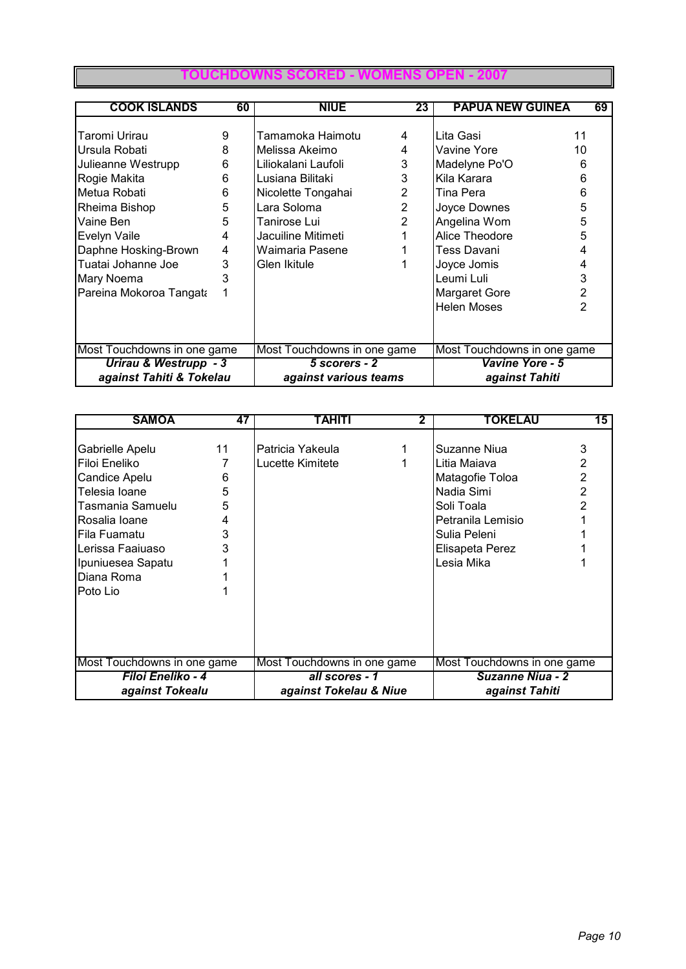#### **TOUCHDO**

| <b>COOK ISLANDS</b>         | 60 | <b>NIUE</b>                 | 23             | <b>PAPUA NEW GUINEA</b>     | 69 |  |  |
|-----------------------------|----|-----------------------------|----------------|-----------------------------|----|--|--|
|                             |    |                             |                |                             |    |  |  |
| Taromi Urirau               | 9  | Tamamoka Haimotu            | 4              | Lita Gasi                   | 11 |  |  |
| Ursula Robati               | 8  | Melissa Akeimo              | 4              | Vavine Yore                 | 10 |  |  |
| Julieanne Westrupp          | 6  | Liliokalani Laufoli         | 3              | Madelyne Po'O               | 6  |  |  |
| Rogie Makita                | 6  | Lusiana Bilitaki            | 3              | Kila Karara                 | 6  |  |  |
| Metua Robati                | 6  | Nicolette Tongahai          | $\overline{2}$ | Tina Pera                   | 6  |  |  |
| Rheima Bishop               | 5  | Lara Soloma                 | $\overline{2}$ | Joyce Downes                | 5  |  |  |
| Vaine Ben                   | 5  | Tanirose Lui                | 2              | Angelina Wom                | 5  |  |  |
| Evelyn Vaile                | 4  | Jacuiline Mitimeti          |                | Alice Theodore              | 5  |  |  |
| Daphne Hosking-Brown        | 4  | Waimaria Pasene             |                | Tess Davani                 | 4  |  |  |
| Tuatai Johanne Joe          | 3  | Glen Ikitule                |                | Joyce Jomis                 | 4  |  |  |
| <b>Mary Noema</b>           | 3  |                             |                | Leumi Luli                  | 3  |  |  |
| Pareina Mokoroa Tangata     |    |                             |                | <b>Margaret Gore</b>        | 2  |  |  |
|                             |    |                             |                | <b>Helen Moses</b>          | 2  |  |  |
|                             |    |                             |                |                             |    |  |  |
|                             |    |                             |                |                             |    |  |  |
| Most Touchdowns in one game |    | Most Touchdowns in one game |                | Most Touchdowns in one game |    |  |  |
| Urirau & Westrupp - 3       |    | 5 scorers - 2               |                | Vavine Yore - 5             |    |  |  |
| against Tahiti & Tokelau    |    | against various teams       |                | against Tahiti              |    |  |  |

| <b>SAMOA</b>                | 47 | TAHITI                      | 2 | <b>TOKELAU</b>              | 15             |  |  |
|-----------------------------|----|-----------------------------|---|-----------------------------|----------------|--|--|
|                             |    |                             |   |                             |                |  |  |
| Gabrielle Apelu             | 11 | lPatricia Yakeula           |   | Suzanne Niua                | 3              |  |  |
| Filoi Eneliko               |    | Lucette Kimitete            |   | Litia Maiava                | 2              |  |  |
| Candice Apelu               | 6  |                             |   | Matagofie Toloa             | 2              |  |  |
| Telesia Ioane               | 5  |                             |   | Nadia Simi                  | $\overline{2}$ |  |  |
| Tasmania Samuelu            | 5  |                             |   | Soli Toala                  | 2              |  |  |
| Rosalia Ioane               | 4  |                             |   | Petranila Lemisio           |                |  |  |
| Fila Fuamatu                | 3  |                             |   | Sulia Peleni                |                |  |  |
| Lerissa Faaiuaso            | 3  |                             |   | Elisapeta Perez             |                |  |  |
| Ipuniuesea Sapatu           |    |                             |   | Lesia Mika                  |                |  |  |
| Diana Roma                  |    |                             |   |                             |                |  |  |
| Poto Lio                    |    |                             |   |                             |                |  |  |
|                             |    |                             |   |                             |                |  |  |
|                             |    |                             |   |                             |                |  |  |
|                             |    |                             |   |                             |                |  |  |
|                             |    |                             |   |                             |                |  |  |
| Most Touchdowns in one game |    | Most Touchdowns in one game |   | Most Touchdowns in one game |                |  |  |
| Filoi Eneliko - 4           |    | all scores - 1              |   | <b>Suzanne Niua - 2</b>     |                |  |  |
| against Tokealu             |    | against Tokelau & Niue      |   | against Tahiti              |                |  |  |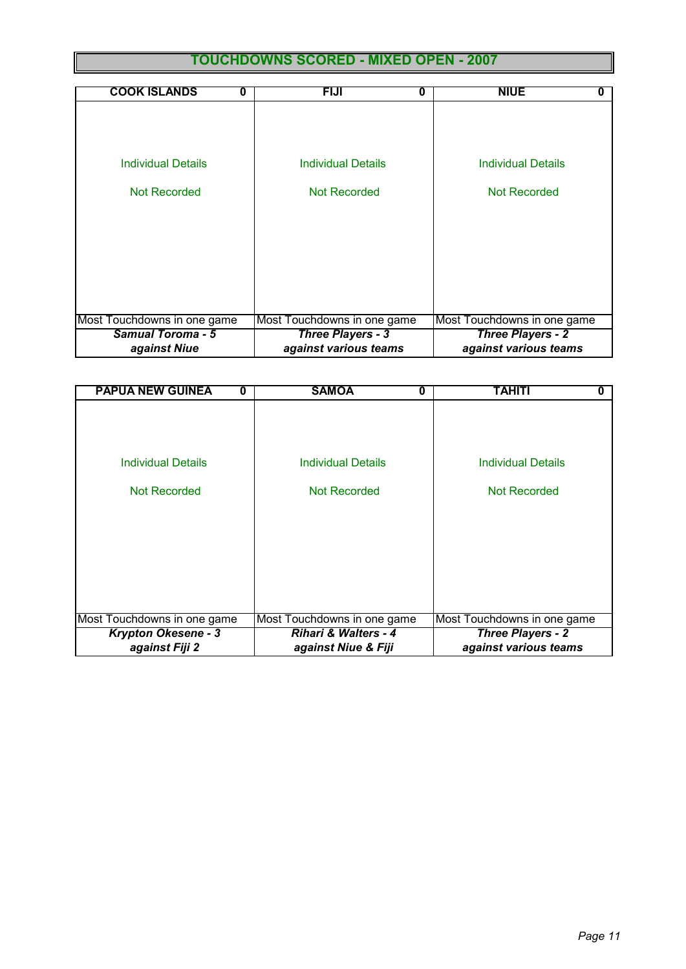## **TOUCHDOWNS SCORED - MIXED OPEN - 2007**

| <b>COOK ISLANDS</b><br>O    | <b>FIJI</b><br>0            | <b>NIUE</b>                 |
|-----------------------------|-----------------------------|-----------------------------|
|                             |                             |                             |
|                             |                             |                             |
|                             |                             |                             |
| Individual Details          | Individual Details          | <b>Individual Details</b>   |
|                             |                             |                             |
| Not Recorded                | Not Recorded                | Not Recorded                |
|                             |                             |                             |
|                             |                             |                             |
|                             |                             |                             |
|                             |                             |                             |
|                             |                             |                             |
|                             |                             |                             |
|                             |                             |                             |
| Most Touchdowns in one game | Most Touchdowns in one game | Most Touchdowns in one game |
| <b>Samual Toroma - 5</b>    | <b>Three Players - 3</b>    | <b>Three Players - 2</b>    |
| against Niue                | against various teams       | against various teams       |

| <b>PAPUA NEW GUINEA</b><br>Ω | <b>SAMOA</b><br>0               | TAHITI                      |
|------------------------------|---------------------------------|-----------------------------|
|                              |                                 |                             |
|                              |                                 |                             |
|                              |                                 |                             |
| <b>Individual Details</b>    | Individual Details              | <b>Individual Details</b>   |
|                              |                                 |                             |
| Not Recorded                 | Not Recorded                    | Not Recorded                |
|                              |                                 |                             |
|                              |                                 |                             |
|                              |                                 |                             |
|                              |                                 |                             |
|                              |                                 |                             |
|                              |                                 |                             |
| Most Touchdowns in one game  | Most Touchdowns in one game     | Most Touchdowns in one game |
| <b>Krypton Okesene - 3</b>   | <b>Rihari &amp; Walters - 4</b> | <b>Three Players - 2</b>    |
| against Fiji 2               | against Niue & Fiji             | against various teams       |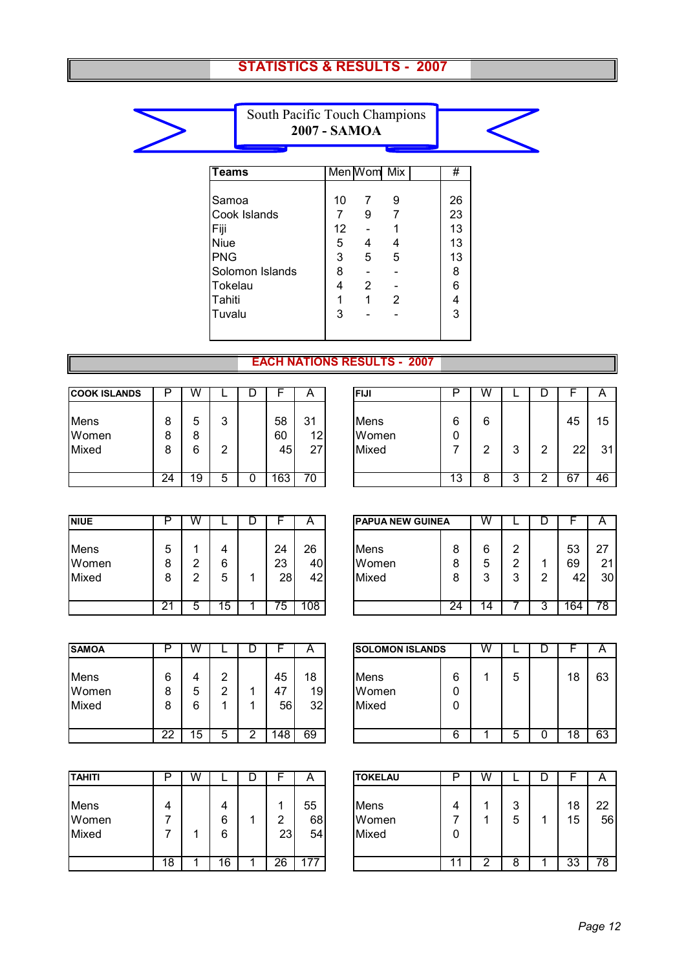### **STATISTICS & RESULTS - 2007**



South Pacific Touch Champions **2007 - SAMOA**

| <b>Teams</b>    |    | Men Wom Mix |   | #  |  |
|-----------------|----|-------------|---|----|--|
|                 |    |             |   |    |  |
| Samoa           | 10 |             | 9 | 26 |  |
| Cook Islands    | 7  | 9           | 7 | 23 |  |
| Fiji            | 12 |             |   | 13 |  |
| Niue            | 5  | 4           | 4 | 13 |  |
| PNG             | 3  | 5           | 5 | 13 |  |
| Solomon Islands | 8  |             |   | 8  |  |
| Tokelau         | 4  | 2           |   | 6  |  |
| Tahiti          | 1  | 1           | 2 | 4  |  |
| Tuvalu          | 3  |             |   | 3  |  |
|                 |    |             |   |    |  |
|                 |    |             |   |    |  |

#### **EACH NATIONS RESULTS - 2007**

| <b>COOK ISLANDS</b>    | D           | W           |             |                | A              | <b>FIJI</b>            | n               | W      |        | D |          | A       |
|------------------------|-------------|-------------|-------------|----------------|----------------|------------------------|-----------------|--------|--------|---|----------|---------|
| Mens<br>Women<br>Mixed | 8<br>8<br>8 | 5<br>8<br>6 | ◠<br>J<br>◠ | 58<br>60<br>45 | 31<br>12<br>27 | Mens<br>Women<br>Mixed | 6<br>0          | 6<br>ົ | ົ<br>J | ⌒ | 45<br>22 | 15<br>3 |
|                        | 24          | 19          | 5           | 163            | 70             |                        | $1\overline{3}$ | 8      | ົ<br>ت |   | 67       | 46      |

| <b>COOK ISLANDS</b>    |             | W           |             | ┕ |                | $\boldsymbol{\mathsf{A}}$   | <b>IFIJI</b>           |           | W      |   |   |          | Α        |
|------------------------|-------------|-------------|-------------|---|----------------|-----------------------------|------------------------|-----------|--------|---|---|----------|----------|
| Mens<br>Women<br>Mixed | 8<br>8<br>8 | 5<br>8<br>6 | ◠<br>ື<br>⌒ |   | 58<br>60<br>45 | 31<br>12<br>27 <sub>1</sub> | Mens<br>Women<br>Mixed | 6<br>0    | 6<br>◠ | c | ◠ | 45<br>22 | 15<br>31 |
|                        | 24          | و,          | ີ           | u | 63             | 70                          |                        | 40<br>د ا |        |   |   | -67      | 46       |

| <b>NIUE</b>            | D           | W      |             |                | A               |                                      | <b>PAPUA NEW GUINEA</b> |                       |                            | ◡ |                | А                     |
|------------------------|-------------|--------|-------------|----------------|-----------------|--------------------------------------|-------------------------|-----------------------|----------------------------|---|----------------|-----------------------|
| Mens<br>Women<br>Mixed | 5<br>8<br>8 | ົ<br>◠ | 4<br>6<br>ხ | 24<br>23<br>28 | 26<br>40<br>421 | <b>Mens</b><br>Women<br><b>Mixed</b> | 8<br>8<br>8             | 6<br>-<br>ს<br>2<br>J | റ<br>∸<br>ົ<br>∸<br>ົ<br>w | ົ | 53<br>69<br>42 | $2^{\cdot}$<br>,<br>, |
|                        | 21          | ∽      | 5           | 75             | 108             |                                      | 24                      | 14                    |                            | J | 164            | 78                    |

| <b>NIUE</b>            | □           | w      |             | C |                | A              | IPAPUA NEW GUINEA      |             | w                 |                  | ┕ |                | A              |
|------------------------|-------------|--------|-------------|---|----------------|----------------|------------------------|-------------|-------------------|------------------|---|----------------|----------------|
| Mens<br>Women<br>Mixed | 5<br>8<br>8 | ົ<br>ົ | 4<br>6<br>5 |   | 24<br>23<br>28 | 26<br>40<br>42 | Mens<br>Women<br>Mixed | 8<br>8<br>8 | 6<br>5<br>◠<br>s. | ົ<br>ົ<br>◠<br>ີ | ◠ | 53<br>69<br>42 | 27<br>21<br>30 |
|                        | ົ           | 5      | 15          |   | 75             | 108            |                        | 24          | 14                |                  | w | 164            | 78             |

| <b>SAMOA</b>           |             | W           |        |   |                | A              | <b>SOLOMON ISLANDS</b> |             |
|------------------------|-------------|-------------|--------|---|----------------|----------------|------------------------|-------------|
| Mens<br>Women<br>Mixed | 6<br>8<br>8 | 4<br>5<br>6 | 2<br>2 |   | 45<br>47<br>56 | 18<br>19<br>32 | Mens<br>Women<br>Mixed | 6<br>0<br>0 |
|                        | 22          | 15          | 5      | 2 | 148            | 69             |                        | 6           |

| Mens<br>Women<br>Mixed | 6<br>8<br>8     | 4<br>5<br>6 | ົ<br>∩ |   | 45<br>47<br>56 | 18<br>19<br>32 | Mens<br>Women<br>Mixed | 6<br>0<br>0 | 5 |   | 18 | 63 |
|------------------------|-----------------|-------------|--------|---|----------------|----------------|------------------------|-------------|---|---|----|----|
|                        | $\overline{22}$ | 15          | ხ      | - | 148            | 69             |                        | 6           | ა | v | 18 | 63 |
|                        |                 |             |        |   |                |                |                        |             |   |   |    |    |

**SOLOMON ISLANDS** W L D F A

| <b>TAHITI</b>          |                 | W |        |              | Α              | <b>TOKELAU</b>         |        | W |             | υ |                 | $\overline{A}$ |
|------------------------|-----------------|---|--------|--------------|----------------|------------------------|--------|---|-------------|---|-----------------|----------------|
| Mens<br>Women<br>Mixed | 4               |   | 6<br>6 | ⌒<br>←<br>23 | 55<br>68<br>54 | Mens<br>Women<br>Mixed | 4<br>0 |   | 2<br>J<br>5 |   | 18<br>15        | 22<br>5        |
|                        | $\overline{18}$ |   | 6      | 26           | 177            |                        | . .    | ⌒ | 8           |   | $\overline{33}$ | 78             |

| TAHITI                 | D  | w |             |         | A                | <b>TOKELAU</b>         | D      | w |                  |          |          |
|------------------------|----|---|-------------|---------|------------------|------------------------|--------|---|------------------|----------|----------|
| Mens<br>Women<br>Mixed | 4  |   | 4<br>6<br>6 | ◠<br>23 | 55<br>68<br>54   | Mens<br>Women<br>Mixed | 4<br>0 |   | ົ<br>ີ<br>∽<br>ັ | 18<br>15 | 22<br>56 |
|                        | 18 |   | 16          | 26      | $\overline{177}$ |                        |        |   | O                | つつ<br>υū | 78       |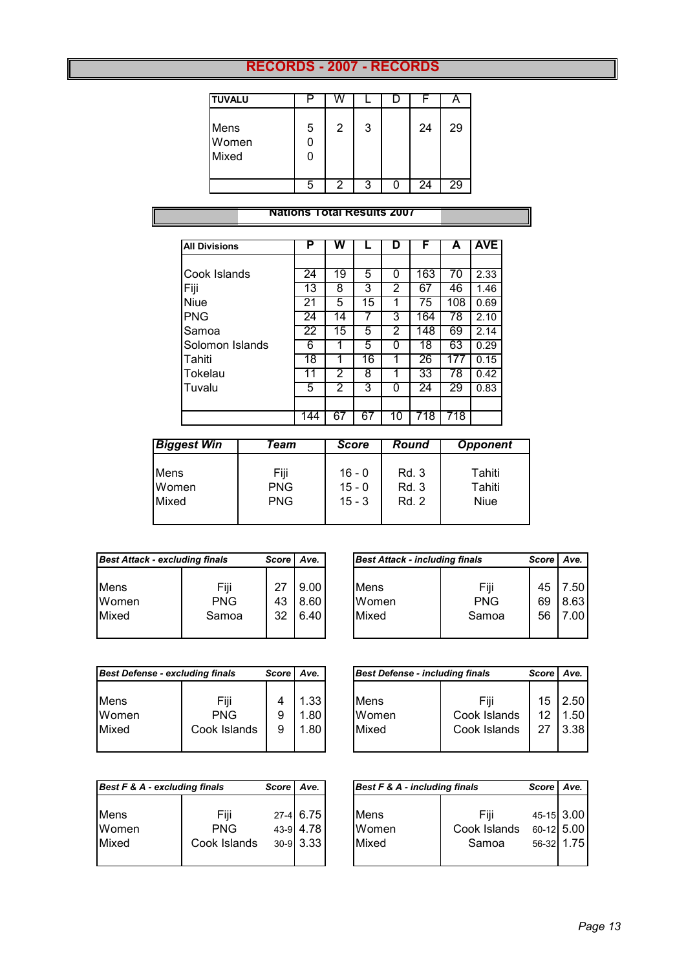#### **RECORDS - 2007 - RECORDS**

| <b>TUVALU</b>          |   |   |   |    | ┍  |
|------------------------|---|---|---|----|----|
| Mens<br>Women<br>Mixed | 5 | 2 | 3 | 24 | 29 |
|                        | 5 | 2 | З | 24 | 29 |

#### **Nations Total Results 2007**

| <b>All Divisions</b> | Ρ   | w  |    | D  | F   | А   | <b>AVE</b> |
|----------------------|-----|----|----|----|-----|-----|------------|
|                      |     |    |    |    |     |     |            |
| Cook Islands         | 24  | 19 | 5  | 0  | 163 | 70  | 2.33       |
| Fiji                 | 13  | 8  | 3  | 2  | 67  | 46  | 1.46       |
| <b>Niue</b>          | 21  | 5  | 15 | 1  | 75  | 108 | 0.69       |
| <b>PNG</b>           | 24  | 14 |    | 3  | 164 | 78  | 2.10       |
| Samoa                | 22  | 15 | 5  | 2  | 148 | 69  | 2.14       |
| Solomon Islands      | 6   |    | 5  | 0  | 18  | 63  | 0.29       |
| Tahiti               | 18  |    | 16 | 1  | 26  | 177 | 0.15       |
| <b>Tokelau</b>       | 11  | 2  | 8  | 1  | 33  | 78  | 0.42       |
| Tuvalu               | 5   | 2  | 3  | 0  | 24  | 29  | 0.83       |
|                      |     |    |    |    |     |     |            |
|                      | 144 | 67 | 67 | 10 | 718 | 718 |            |

| <b>Biggest Win</b> | Team       | <b>Score</b> | Round | <b>Opponent</b> |
|--------------------|------------|--------------|-------|-----------------|
| Mens               | Fiji       | $16 - 0$     | Rd. 3 | Tahiti          |
| Women              | <b>PNG</b> | $15 - 0$     | Rd. 3 | Tahiti          |
| Mixed              | <b>PNG</b> | $15 - 3$     | Rd. 2 | <b>Niue</b>     |

|             | <b>Best Attack - excluding finals</b><br>Score l |    |      |
|-------------|--------------------------------------------------|----|------|
| <b>Mens</b> | Fiji                                             | 27 | 9.00 |
| Women       | <b>PNG</b>                                       | 43 | 8.60 |
| Mixed       | Samoa                                            | 32 | 6.40 |

| Best Attack - excluding finals |            | <b>Score</b> | Ave. |       | <b>Best Attack - including finals</b> |    |      |  |
|--------------------------------|------------|--------------|------|-------|---------------------------------------|----|------|--|
| Mens                           | Fiji       | 27           | 9.00 | Mens  | Fiji                                  | 45 | .50  |  |
| Women                          | <b>PNG</b> | 43           | 8.60 | Women | <b>PNG</b>                            | 69 | 8.63 |  |
| Mixed                          | Samoa      | 32           | 6.40 | Mixed | Samoa                                 | 56 | 7.00 |  |

.

| <b>Best Defense - excluding finals</b> |                                    | <b>Score</b> | Ave.                 |
|----------------------------------------|------------------------------------|--------------|----------------------|
| <b>Mens</b><br>Women<br>Mixed          | Fiji<br><b>PNG</b><br>Cook Islands | 9<br>9       | 1.33<br>1.80<br>1.80 |

| <b>Best Defense - excluding finals</b> |                                    | <b>Score</b> | Ave.                 | <b>Best Defense - including finals</b> |                                      | <b>Score</b>   | Ave.                              |
|----------------------------------------|------------------------------------|--------------|----------------------|----------------------------------------|--------------------------------------|----------------|-----------------------------------|
| Mens<br>Women<br>Mixed                 | Fiji<br><b>PNG</b><br>Cook Islands | 9<br>9       | 1.33<br>1.80<br>1.80 | Mens<br>Women<br>Mixed                 | Fiii<br>Cook Islands<br>Cook Islands | 15<br>12<br>27 | 2.50<br>1.50 <sub>1</sub><br>3.38 |

| Best F & A - excluding finals |                                    | <b>Score</b> | Ave.                                  | Best F & A - including finals |                               | <b>Score</b>                           | Ave. |
|-------------------------------|------------------------------------|--------------|---------------------------------------|-------------------------------|-------------------------------|----------------------------------------|------|
| Mens<br>Women<br>Mixed        | Fiji<br><b>PNG</b><br>Cook Islands |              | 27-4 6.75<br>43-9 4.78<br>$30-9$ 3.33 | Mens<br>Women<br>Mixed        | Fiii<br>Cook Islands<br>Samoa | 45-15 3.00<br>60-12 5.00<br>56-32 1.75 |      |

| Best F & A - including finals |              | Score   Ave. |
|-------------------------------|--------------|--------------|
| Mens                          | Fiii         | 45-15 3.00   |
| Women                         | Cook Islands | 60-12 5.00   |
| Mixed                         | Samoa        | 56-32 1.75   |